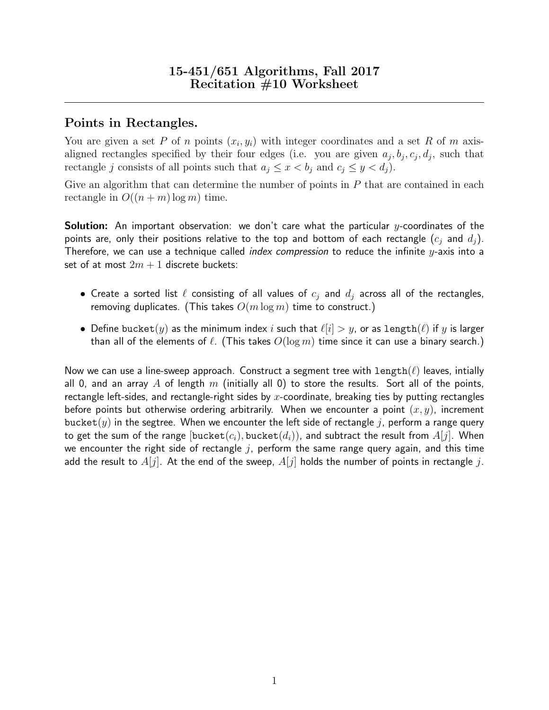## Points in Rectangles.

You are given a set P of n points  $(x_i, y_i)$  with integer coordinates and a set R of m axisaligned rectangles specified by their four edges (i.e. you are given  $a_j, b_j, c_j, d_j$ , such that rectangle j consists of all points such that  $a_j \leq x < b_j$  and  $c_j \leq y < d_j$ .

Give an algorithm that can determine the number of points in  $P$  that are contained in each rectangle in  $O((n+m)\log m)$  time.

**Solution:** An important observation: we don't care what the particular  $y$ -coordinates of the points are, only their positions relative to the top and bottom of each rectangle  $(c_i$  and  $d_i)$ . Therefore, we can use a technique called *index compression* to reduce the infinite  $y$ -axis into a set of at most  $2m + 1$  discrete buckets:

- Create a sorted list  $\ell$  consisting of all values of  $c_i$  and  $d_i$  across all of the rectangles, removing duplicates. (This takes  $O(m \log m)$  time to construct.)
- Define bucket $(y)$  as the minimum index i such that  $\ell[i] > y$ , or as length $(\ell)$  if y is larger than all of the elements of  $\ell$ . (This takes  $O(\log m)$  time since it can use a binary search.)

Now we can use a line-sweep approach. Construct a segment tree with  $l$ ength $(\ell)$  leaves, intially all 0, and an array A of length  $m$  (initially all 0) to store the results. Sort all of the points, rectangle left-sides, and rectangle-right sides by x-coordinate, breaking ties by putting rectangles before points but otherwise ordering arbitrarily. When we encounter a point  $(x, y)$ , increment bucket(y) in the segtree. When we encounter the left side of rectangle j, perform a range query to get the sum of the range  $[\text{bucket}(c_i), \text{bucket}(d_i))$ , and subtract the result from  $A[j]$ . When we encounter the right side of rectangle  $j$ , perform the same range query again, and this time add the result to  $A[j]$ . At the end of the sweep,  $A[j]$  holds the number of points in rectangle j.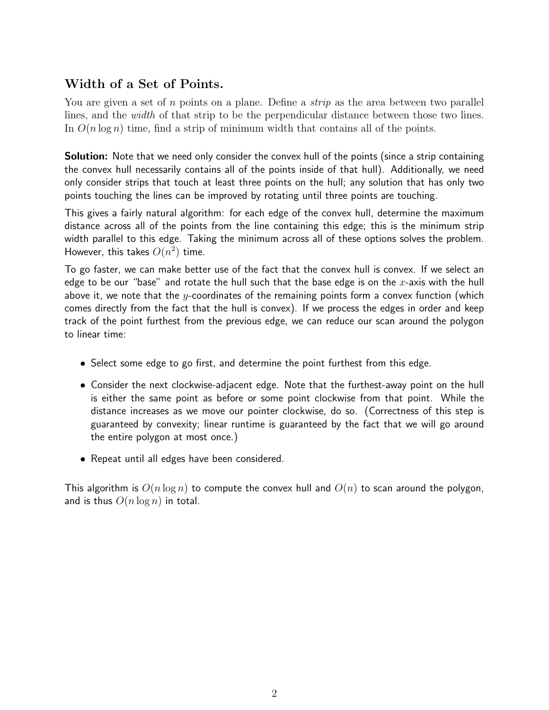## Width of a Set of Points.

You are given a set of n points on a plane. Define a *strip* as the area between two parallel lines, and the *width* of that strip to be the perpendicular distance between those two lines. In  $O(n \log n)$  time, find a strip of minimum width that contains all of the points.

**Solution:** Note that we need only consider the convex hull of the points (since a strip containing the convex hull necessarily contains all of the points inside of that hull). Additionally, we need only consider strips that touch at least three points on the hull; any solution that has only two points touching the lines can be improved by rotating until three points are touching.

This gives a fairly natural algorithm: for each edge of the convex hull, determine the maximum distance across all of the points from the line containing this edge; this is the minimum strip width parallel to this edge. Taking the minimum across all of these options solves the problem. However, this takes  $O(n^2)$  time.

To go faster, we can make better use of the fact that the convex hull is convex. If we select an edge to be our "base" and rotate the hull such that the base edge is on the  $x$ -axis with the hull above it, we note that the  $y$ -coordinates of the remaining points form a convex function (which comes directly from the fact that the hull is convex). If we process the edges in order and keep track of the point furthest from the previous edge, we can reduce our scan around the polygon to linear time:

- Select some edge to go first, and determine the point furthest from this edge.
- Consider the next clockwise-adjacent edge. Note that the furthest-away point on the hull is either the same point as before or some point clockwise from that point. While the distance increases as we move our pointer clockwise, do so. (Correctness of this step is guaranteed by convexity; linear runtime is guaranteed by the fact that we will go around the entire polygon at most once.)
- Repeat until all edges have been considered.

This algorithm is  $O(n \log n)$  to compute the convex hull and  $O(n)$  to scan around the polygon, and is thus  $O(n \log n)$  in total.